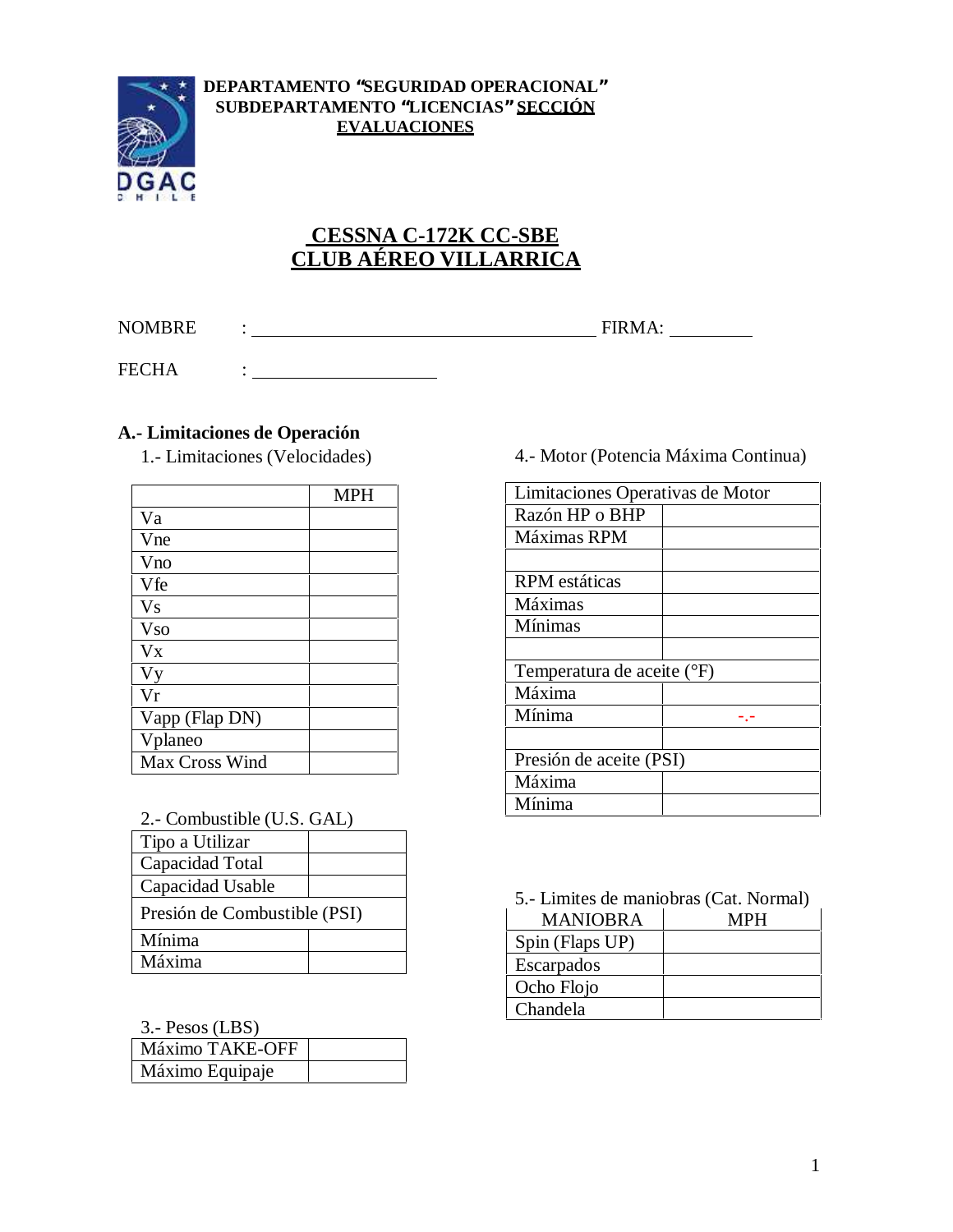

#### **DEPARTAMENTO "SEGURIDAD OPERACIONAL" SUBDEPARTAMENTO "LICENCIAS" SECCIÓN EVALUACIONES**

# **CESSNA C-172K CC-SBE CLUB AÉREO VILLARRICA**

NOMBRE : FIRMA:

FECHA :

### **A.- Limitaciones de Operación**

|                | <b>MPH</b> |
|----------------|------------|
| Va             |            |
| Vne            |            |
| Vno            |            |
| Vfe            |            |
| V <sub>S</sub> |            |
| <b>Vso</b>     |            |
| $V_{X}$        |            |
| <b>Vy</b>      |            |
| Vr             |            |
| Vapp (Flap DN) |            |
| Vplaneo        |            |
| Max Cross Wind |            |

| 2.- Combustible (U.S. GAL) |  |
|----------------------------|--|
|----------------------------|--|

| Tipo a Utilizar              |  |  |
|------------------------------|--|--|
| Capacidad Total              |  |  |
| Capacidad Usable             |  |  |
| Presión de Combustible (PSI) |  |  |
| Mínima                       |  |  |
| Máxima                       |  |  |

3.- Pesos (LBS)

| $\mathcal{L}$ . I VOUU (LDD) |  |
|------------------------------|--|
| Máximo TAKE-OFF              |  |
| Máximo Equipaje              |  |

## 1.- Limitaciones (Velocidades) 4.- Motor (Potencia Máxima Continua)

| Limitaciones Operativas de Motor |  |
|----------------------------------|--|
| Razón HP o BHP                   |  |
| Máximas RPM                      |  |
|                                  |  |
| <b>RPM</b> estáticas             |  |
| Máximas                          |  |
| Mínimas                          |  |
|                                  |  |
| Temperatura de aceite (°F)       |  |
| Máxima                           |  |
| Mínima                           |  |
|                                  |  |
| Presión de aceite (PSI)          |  |
| Máxima                           |  |
| Mínima                           |  |

5.- Limites de maniobras (Cat. Normal)

| MANIOBRA        | мин |  |
|-----------------|-----|--|
| Spin (Flaps UP) |     |  |
| Escarpados      |     |  |
| Ocho Flojo      |     |  |
| Chandela        |     |  |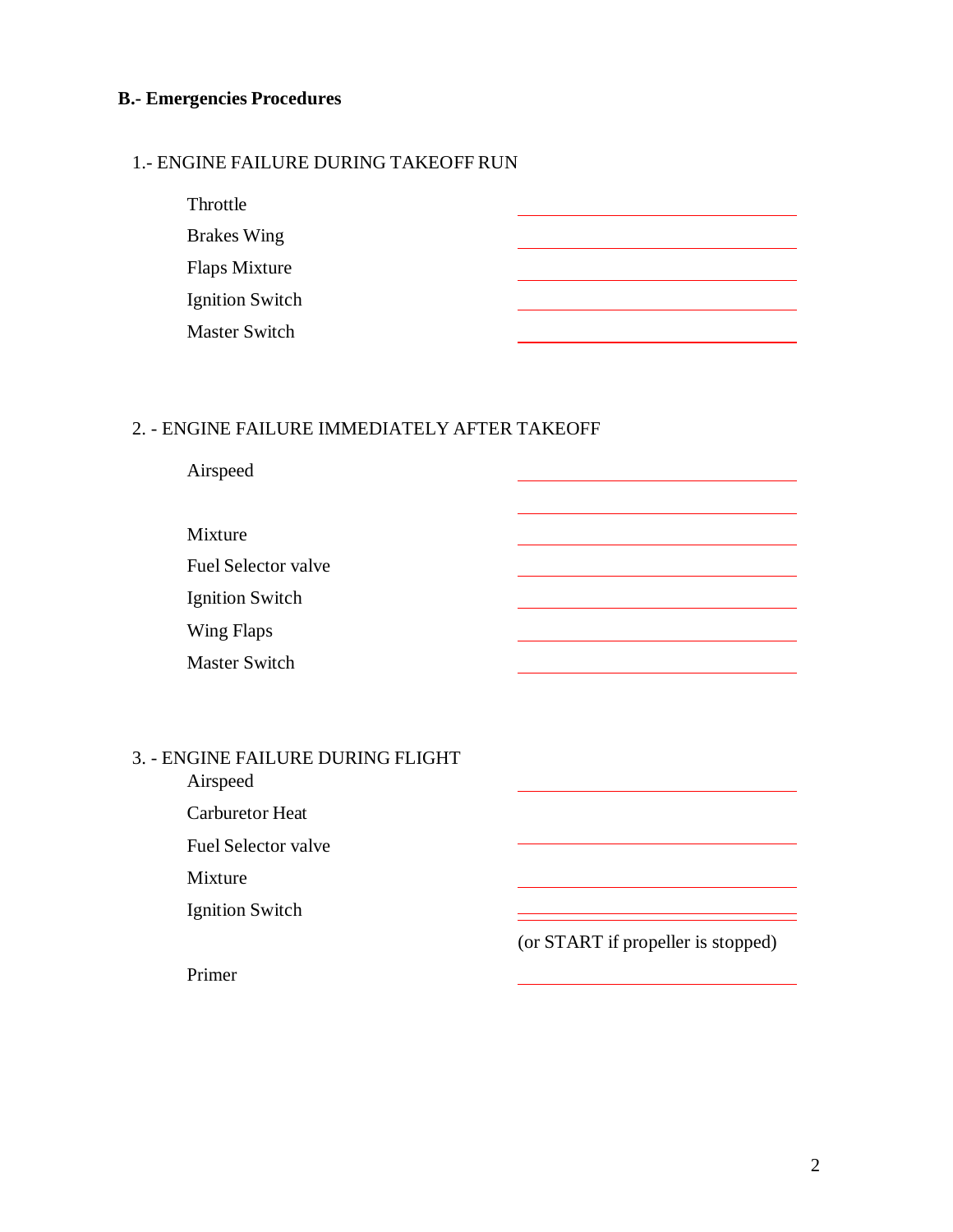## **B.- Emergencies Procedures**

#### 1.- ENGINE FAILURE DURING TAKEOFF RUN

| Throttle               |  |
|------------------------|--|
| <b>Brakes Wing</b>     |  |
| Flaps Mixture          |  |
| <b>Ignition Switch</b> |  |
| <b>Master Switch</b>   |  |

## 2. - ENGINE FAILURE IMMEDIATELY AFTER TAKEOFF

| Airspeed                                      |                                    |
|-----------------------------------------------|------------------------------------|
| Mixture                                       |                                    |
| <b>Fuel Selector valve</b>                    |                                    |
| <b>Ignition Switch</b>                        |                                    |
| Wing Flaps                                    |                                    |
| <b>Master Switch</b>                          |                                    |
|                                               |                                    |
| 3. - ENGINE FAILURE DURING FLIGHT<br>Airspeed |                                    |
| <b>Carburetor Heat</b>                        |                                    |
| <b>Fuel Selector valve</b>                    |                                    |
| Mixture                                       |                                    |
| <b>Ignition Switch</b>                        |                                    |
|                                               | (or START if propeller is stopped) |
| Primer                                        |                                    |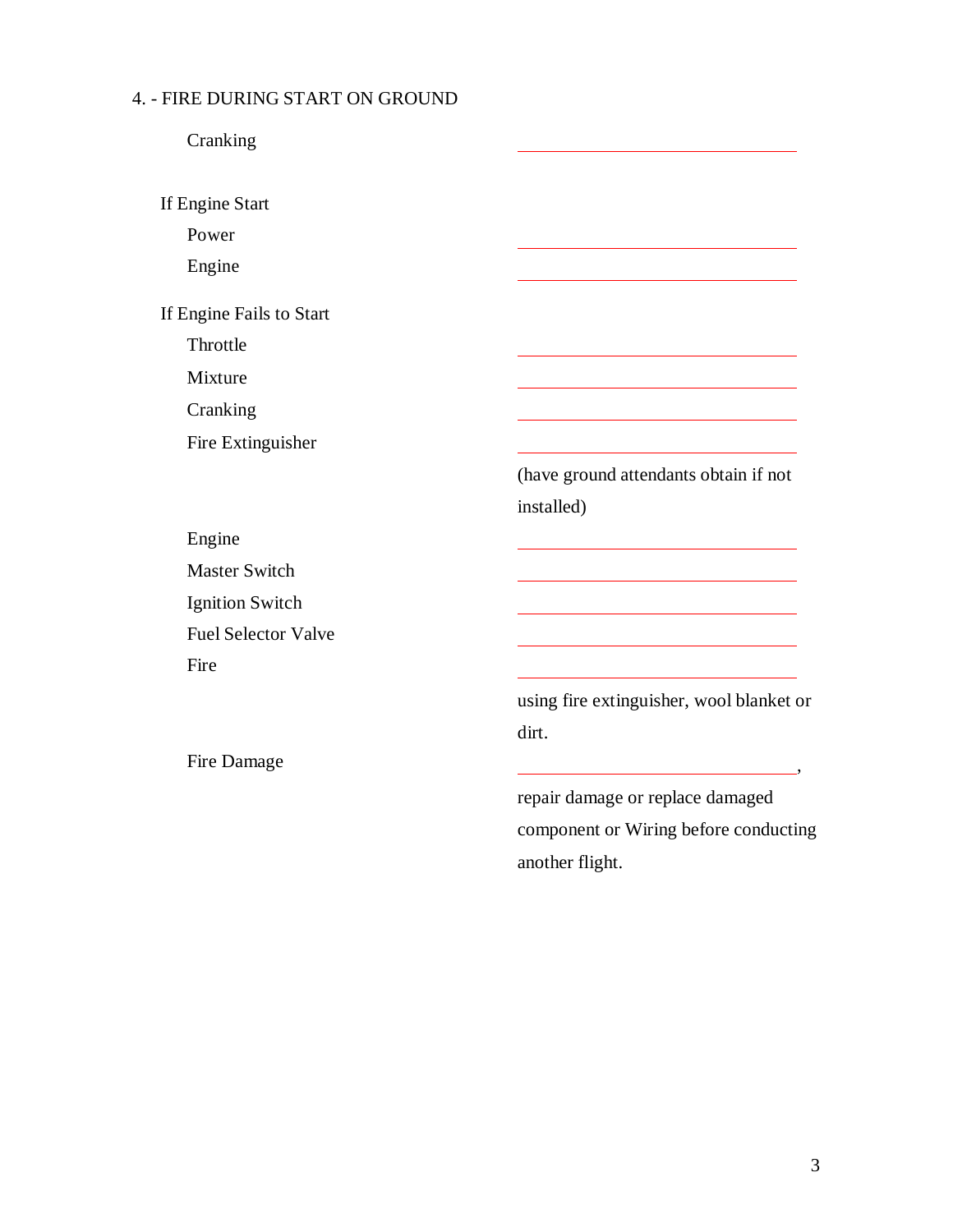# 4. - FIRE DURING START ON GROUND

Cranking

If Engine Start

Power

Engine

If Engine Fails to Start

Throttle

Mixture

Cranking

Fire Extinguisher

(have ground attendants obtain if not installed)

Engine Master Switch Ignition Switch Fuel Selector Valve Fire

Fire Damage

using fire extinguisher, wool blanket or dirt.

repair damage or replace damaged component or Wiring before conducting another flight.

,